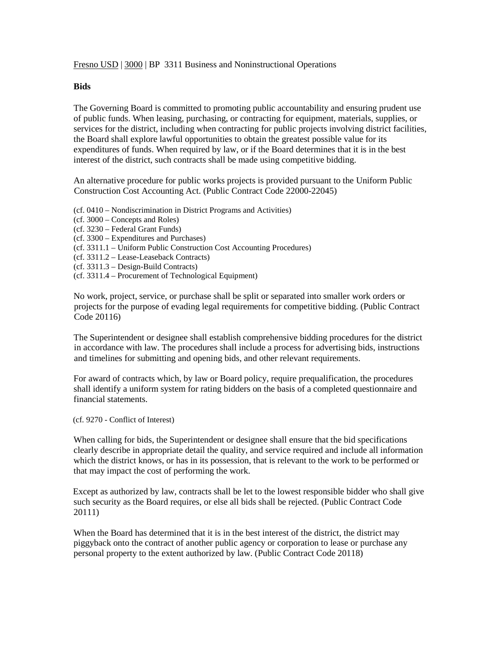Fresno USD | 3000 | BP 3311 Business and Noninstructional Operations

## **Bids**

The Governing Board is committed to promoting public accountability and ensuring prudent use of public funds. When leasing, purchasing, or contracting for equipment, materials, supplies, or services for the district, including when contracting for public projects involving district facilities, the Board shall explore lawful opportunities to obtain the greatest possible value for its expenditures of funds. When required by law, or if the Board determines that it is in the best interest of the district, such contracts shall be made using competitive bidding.

An alternative procedure for public works projects is provided pursuant to the Uniform Public Construction Cost Accounting Act. (Public Contract Code 22000-22045)

- (cf. 0410 Nondiscrimination in District Programs and Activities)
- (cf. 3000 Concepts and Roles)
- (cf. 3230 Federal Grant Funds)
- (cf. 3300 Expenditures and Purchases)
- (cf. 3311.1 Uniform Public Construction Cost Accounting Procedures)
- (cf. 3311.2 Lease-Leaseback Contracts)
- (cf. 3311.3 Design-Build Contracts)
- (cf. 3311.4 Procurement of Technological Equipment)

No work, project, service, or purchase shall be split or separated into smaller work orders or projects for the purpose of evading legal requirements for competitive bidding. (Public Contract Code 20116)

The Superintendent or designee shall establish comprehensive bidding procedures for the district in accordance with law. The procedures shall include a process for advertising bids, instructions and timelines for submitting and opening bids, and other relevant requirements.

For award of contracts which, by law or Board policy, require prequalification, the procedures shall identify a uniform system for rating bidders on the basis of a completed questionnaire and financial statements.

(cf. 9270 - Conflict of Interest)

When calling for bids, the Superintendent or designee shall ensure that the bid specifications clearly describe in appropriate detail the quality, and service required and include all information which the district knows, or has in its possession, that is relevant to the work to be performed or that may impact the cost of performing the work.

Except as authorized by law, contracts shall be let to the lowest responsible bidder who shall give such security as the Board requires, or else all bids shall be rejected. (Public Contract Code 20111)

When the Board has determined that it is in the best interest of the district, the district may piggyback onto the contract of another public agency or corporation to lease or purchase any personal property to the extent authorized by law. (Public Contract Code 20118)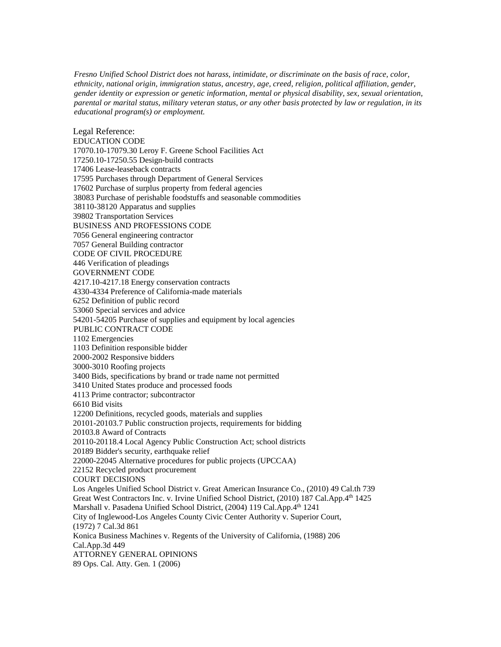*Fresno Unified School District does not harass, intimidate, or discriminate on the basis of race, color, ethnicity, national origin, immigration status, ancestry, age, creed, religion, political affiliation, gender, gender identity or expression or genetic information, mental or physical disability, sex, sexual orientation, parental or marital status, military veteran status, or any other basis protected by law or regulation, in its educational program(s) or employment.*

Legal Reference: EDUCATION CODE 17070.10-17079.30 Leroy F. Greene School Facilities Act 17250.10-17250.55 Design-build contracts 17406 Lease-leaseback contracts 17595 Purchases through Department of General Services 17602 Purchase of surplus property from federal agencies 38083 Purchase of perishable foodstuffs and seasonable commodities 38110-38120 Apparatus and supplies 39802 Transportation Services BUSINESS AND PROFESSIONS CODE 7056 General engineering contractor 7057 General Building contractor CODE OF CIVIL PROCEDURE 446 Verification of pleadings GOVERNMENT CODE 4217.10-4217.18 Energy conservation contracts 4330-4334 Preference of California-made materials 6252 Definition of public record 53060 Special services and advice 54201-54205 Purchase of supplies and equipment by local agencies PUBLIC CONTRACT CODE 1102 Emergencies 1103 Definition responsible bidder 2000-2002 Responsive bidders 3000-3010 Roofing projects 3400 Bids, specifications by brand or trade name not permitted 3410 United States produce and processed foods 4113 Prime contractor; subcontractor 6610 Bid visits 12200 Definitions, recycled goods, materials and supplies 20101-20103.7 Public construction projects, requirements for bidding 20103.8 Award of Contracts 20110-20118.4 Local Agency Public Construction Act; school districts 20189 Bidder's security, earthquake relief 22000-22045 Alternative procedures for public projects (UPCCAA) 22152 Recycled product procurement COURT DECISIONS Los Angeles Unified School District v. Great American Insurance Co., (2010) 49 Cal.th 739 Great West Contractors Inc. v. Irvine Unified School District, (2010) 187 Cal.App.4th 1425 Marshall v. Pasadena Unified School District, (2004) 119 Cal.App.4th 1241 City of Inglewood-Los Angeles County Civic Center Authority v. Superior Court, (1972) 7 Cal.3d 861 Konica Business Machines v. Regents of the University of California, (1988) 206 Cal.App.3d 449 ATTORNEY GENERAL OPINIONS 89 Ops. Cal. Atty. Gen. 1 (2006)